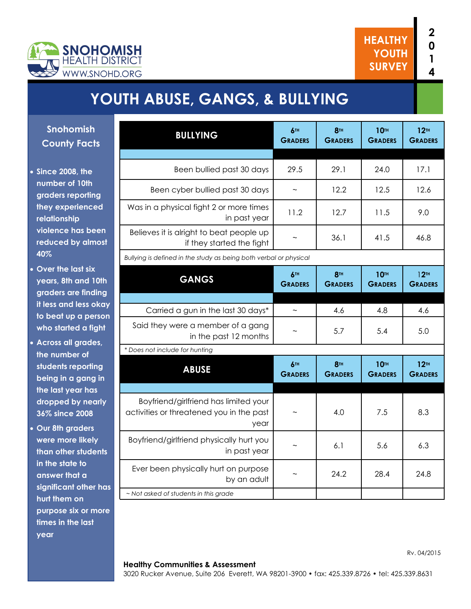

Rv. 04/2015

# **YOUTH ABUSE, GANGS, & BULLYING**

**Snohomish County Facts**

- **Since 2008, the number of 10th graders reporting they experienced relationship violence has been reduced by almost 40%**
- **Over the last six years, 8th and 10th graders are finding it less and less okay to beat up a person who started a fight**
- **Across all grades, the number of students reporting being in a gang in the last year has dropped by nearly 36% since 2008**
- **Our 8th graders were more likely than other students in the state to answer that a significant other has hurt them on purpose six or more times in the last year**

| <b>BULLYING</b>                                                                           | 6TH                               | 8 <sup>TH</sup>                   | <b>10TH</b>                        | 12 <sup>TH</sup>                   |
|-------------------------------------------------------------------------------------------|-----------------------------------|-----------------------------------|------------------------------------|------------------------------------|
|                                                                                           | <b>GRADERS</b>                    | <b>GRADERS</b>                    | <b>GRADERS</b>                     | <b>GRADERS</b>                     |
|                                                                                           |                                   |                                   |                                    |                                    |
| Been bullied past 30 days                                                                 | 29.5                              | 29.1                              | 24.0                               | 17.1                               |
| Been cyber bullied past 30 days                                                           |                                   | 12.2                              | 12.5                               | 12.6                               |
| Was in a physical fight 2 or more times<br>in past year                                   | 11.2                              | 12.7                              | 11.5                               | 9.0                                |
| Believes it is alright to beat people up<br>if they started the fight                     |                                   | 36.1                              | 41.5                               | 46.8                               |
| Bullying is defined in the study as being both verbal or physical                         |                                   |                                   |                                    |                                    |
| <b>GANGS</b>                                                                              | 6 <sup>th</sup><br><b>GRADERS</b> | <b>8TH</b><br><b>GRADERS</b>      | 10 <sub>th</sub><br><b>GRADERS</b> | 12 <sup>TH</sup><br><b>GRADERS</b> |
|                                                                                           |                                   |                                   |                                    |                                    |
| Carried a gun in the last 30 days*                                                        |                                   | 4.6                               | 4.8                                | 4.6                                |
| Said they were a member of a gang<br>in the past 12 months                                |                                   | 5.7                               | 5.4                                | 5.0                                |
| * Does not include for hunting                                                            |                                   |                                   |                                    |                                    |
| <b>ABUSE</b>                                                                              | 6TH<br><b>GRADERS</b>             | 8 <sup>TH</sup><br><b>GRADERS</b> | <b>10TH</b><br><b>GRADERS</b>      | 12 <sup>TH</sup><br><b>GRADERS</b> |
|                                                                                           |                                   |                                   |                                    |                                    |
| Boyfriend/girlfriend has limited your<br>activities or threatened you in the past<br>year |                                   | 4.0                               | 7.5                                | 8.3                                |
| Boyfriend/girlfriend physically hurt you<br>in past year                                  |                                   | 6.1                               | 5.6                                | 6.3                                |
| Ever been physically hurt on purpose<br>by an adult                                       |                                   | 24.2                              | 28.4                               | 24.8                               |
| ~ Not asked of students in this grade                                                     |                                   |                                   |                                    |                                    |